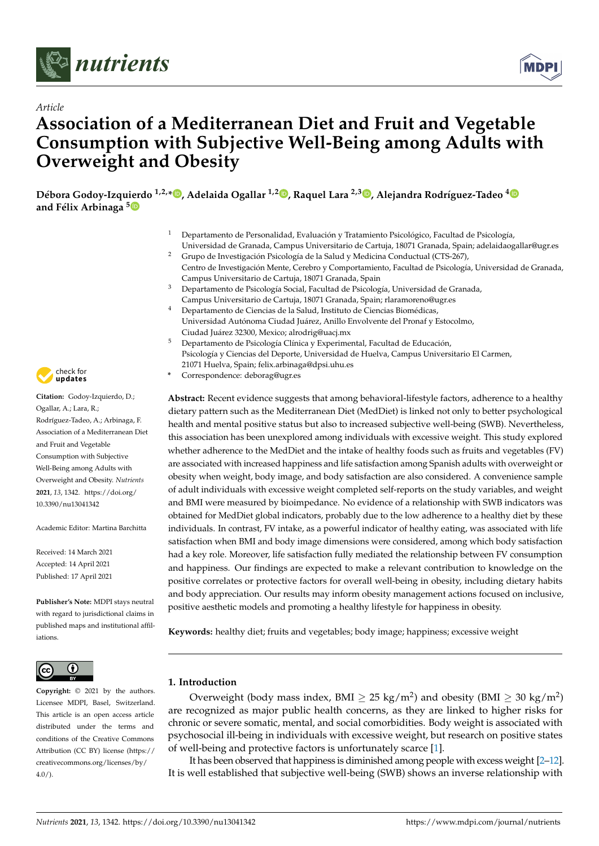

*Article*



# **Association of a Mediterranean Diet and Fruit and Vegetable Consumption with Subjective Well-Being among Adults with Overweight and Obesity**

**Débora Godoy-Izquierdo 1,2,\* [,](https://orcid.org/0000-0002-4294-4232) Adelaida Ogallar 1,2 [,](https://orcid.org/0000-0001-6186-3035) Raquel Lara 2,3 [,](https://orcid.org/0000-0001-5559-0915) Alejandra Rodríguez-Tadeo [4](https://orcid.org/0000-0001-5826-6627) and Félix Arbinaga [5](https://orcid.org/0000-0001-6649-1904)**

- <sup>1</sup> Departamento de Personalidad, Evaluación y Tratamiento Psicológico, Facultad de Psicología,
- Universidad de Granada, Campus Universitario de Cartuja, 18071 Granada, Spain; adelaidaogallar@ugr.es <sup>2</sup> Grupo de Investigación Psicología de la Salud y Medicina Conductual (CTS-267),
- Centro de Investigación Mente, Cerebro y Comportamiento, Facultad de Psicología, Universidad de Granada, Campus Universitario de Cartuja, 18071 Granada, Spain
- <sup>3</sup> Departamento de Psicología Social, Facultad de Psicología, Universidad de Granada,
- Campus Universitario de Cartuja, 18071 Granada, Spain; rlaramoreno@ugr.es
- <sup>4</sup> Departamento de Ciencias de la Salud, Instituto de Ciencias Biomédicas, Universidad Autónoma Ciudad Juárez, Anillo Envolvente del Pronaf y Estocolmo, Ciudad Juárez 32300, Mexico; alrodrig@uacj.mx
- <sup>5</sup> Departamento de Psicología Clínica y Experimental, Facultad de Educación, Psicología y Ciencias del Deporte, Universidad de Huelva, Campus Universitario El Carmen, 21071 Huelva, Spain; felix.arbinaga@dpsi.uhu.es
- **\*** Correspondence: deborag@ugr.es

**Abstract:** Recent evidence suggests that among behavioral-lifestyle factors, adherence to a healthy dietary pattern such as the Mediterranean Diet (MedDiet) is linked not only to better psychological health and mental positive status but also to increased subjective well-being (SWB). Nevertheless, this association has been unexplored among individuals with excessive weight. This study explored whether adherence to the MedDiet and the intake of healthy foods such as fruits and vegetables (FV) are associated with increased happiness and life satisfaction among Spanish adults with overweight or obesity when weight, body image, and body satisfaction are also considered. A convenience sample of adult individuals with excessive weight completed self-reports on the study variables, and weight and BMI were measured by bioimpedance. No evidence of a relationship with SWB indicators was obtained for MedDiet global indicators, probably due to the low adherence to a healthy diet by these individuals. In contrast, FV intake, as a powerful indicator of healthy eating, was associated with life satisfaction when BMI and body image dimensions were considered, among which body satisfaction had a key role. Moreover, life satisfaction fully mediated the relationship between FV consumption and happiness. Our findings are expected to make a relevant contribution to knowledge on the positive correlates or protective factors for overall well-being in obesity, including dietary habits and body appreciation. Our results may inform obesity management actions focused on inclusive, positive aesthetic models and promoting a healthy lifestyle for happiness in obesity.

**Keywords:** healthy diet; fruits and vegetables; body image; happiness; excessive weight

# **1. Introduction**

Overweight (body mass index, BMI  $\geq 25$  kg/m<sup>2</sup>) and obesity (BMI  $\geq 30$  kg/m<sup>2</sup>) are recognized as major public health concerns, as they are linked to higher risks for chronic or severe somatic, mental, and social comorbidities. Body weight is associated with psychosocial ill-being in individuals with excessive weight, but research on positive states of well-being and protective factors is unfortunately scarce [\[1\]](#page-10-0).

It has been observed that happiness is diminished among people with excess weight [\[2](#page-10-1)[–12\]](#page-11-0). It is well established that subjective well-being (SWB) shows an inverse relationship with



**Citation:** Godoy-Izquierdo, D.; Ogallar, A.; Lara, R.; Rodríguez-Tadeo, A.; Arbinaga, F. Association of a Mediterranean Diet and Fruit and Vegetable Consumption with Subjective Well-Being among Adults with Overweight and Obesity. *Nutrients* **2021**, *13*, 1342. [https://doi.org/](https://doi.org/10.3390/nu13041342) [10.3390/nu13041342](https://doi.org/10.3390/nu13041342)

Academic Editor: Martina Barchitta

Received: 14 March 2021 Accepted: 14 April 2021 Published: 17 April 2021

**Publisher's Note:** MDPI stays neutral with regard to jurisdictional claims in published maps and institutional affiliations.



**Copyright:** © 2021 by the authors. Licensee MDPI, Basel, Switzerland. This article is an open access article distributed under the terms and conditions of the Creative Commons Attribution (CC BY) license (https:/[/](https://creativecommons.org/licenses/by/4.0/) [creativecommons.org/licenses/by/](https://creativecommons.org/licenses/by/4.0/)  $4.0/$ ).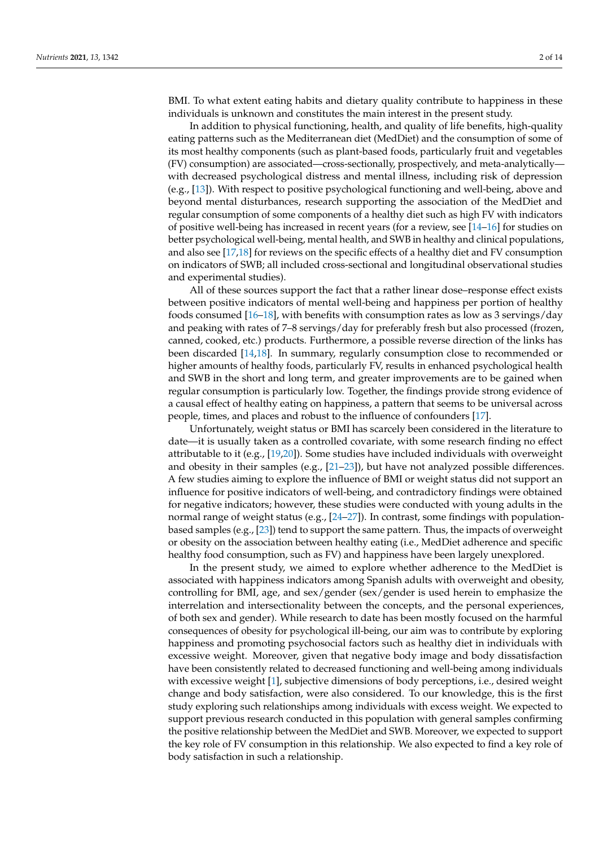BMI. To what extent eating habits and dietary quality contribute to happiness in these individuals is unknown and constitutes the main interest in the present study.

In addition to physical functioning, health, and quality of life benefits, high-quality eating patterns such as the Mediterranean diet (MedDiet) and the consumption of some of its most healthy components (such as plant-based foods, particularly fruit and vegetables (FV) consumption) are associated—cross-sectionally, prospectively, and meta-analytically with decreased psychological distress and mental illness, including risk of depression (e.g., [\[13\]](#page-11-1)). With respect to positive psychological functioning and well-being, above and beyond mental disturbances, research supporting the association of the MedDiet and regular consumption of some components of a healthy diet such as high FV with indicators of positive well-being has increased in recent years (for a review, see  $[14–16]$  $[14–16]$  for studies on better psychological well-being, mental health, and SWB in healthy and clinical populations, and also see [\[17](#page-11-4)[,18\]](#page-11-5) for reviews on the specific effects of a healthy diet and FV consumption on indicators of SWB; all included cross-sectional and longitudinal observational studies and experimental studies).

All of these sources support the fact that a rather linear dose–response effect exists between positive indicators of mental well-being and happiness per portion of healthy foods consumed [\[16–](#page-11-3)[18\]](#page-11-5), with benefits with consumption rates as low as 3 servings/day and peaking with rates of 7–8 servings/day for preferably fresh but also processed (frozen, canned, cooked, etc.) products. Furthermore, a possible reverse direction of the links has been discarded [\[14,](#page-11-2)[18\]](#page-11-5). In summary, regularly consumption close to recommended or higher amounts of healthy foods, particularly FV, results in enhanced psychological health and SWB in the short and long term, and greater improvements are to be gained when regular consumption is particularly low. Together, the findings provide strong evidence of a causal effect of healthy eating on happiness, a pattern that seems to be universal across people, times, and places and robust to the influence of confounders [\[17\]](#page-11-4).

Unfortunately, weight status or BMI has scarcely been considered in the literature to date—it is usually taken as a controlled covariate, with some research finding no effect attributable to it (e.g., [\[19,](#page-11-6)[20\]](#page-11-7)). Some studies have included individuals with overweight and obesity in their samples (e.g., [\[21](#page-11-8)[–23\]](#page-11-9)), but have not analyzed possible differences. A few studies aiming to explore the influence of BMI or weight status did not support an influence for positive indicators of well-being, and contradictory findings were obtained for negative indicators; however, these studies were conducted with young adults in the normal range of weight status (e.g., [\[24](#page-11-10)[–27\]](#page-11-11)). In contrast, some findings with populationbased samples (e.g., [\[23\]](#page-11-9)) tend to support the same pattern. Thus, the impacts of overweight or obesity on the association between healthy eating (i.e., MedDiet adherence and specific healthy food consumption, such as FV) and happiness have been largely unexplored.

In the present study, we aimed to explore whether adherence to the MedDiet is associated with happiness indicators among Spanish adults with overweight and obesity, controlling for BMI, age, and sex/gender (sex/gender is used herein to emphasize the interrelation and intersectionality between the concepts, and the personal experiences, of both sex and gender). While research to date has been mostly focused on the harmful consequences of obesity for psychological ill-being, our aim was to contribute by exploring happiness and promoting psychosocial factors such as healthy diet in individuals with excessive weight. Moreover, given that negative body image and body dissatisfaction have been consistently related to decreased functioning and well-being among individuals with excessive weight [\[1\]](#page-10-0), subjective dimensions of body perceptions, i.e., desired weight change and body satisfaction, were also considered. To our knowledge, this is the first study exploring such relationships among individuals with excess weight. We expected to support previous research conducted in this population with general samples confirming the positive relationship between the MedDiet and SWB. Moreover, we expected to support the key role of FV consumption in this relationship. We also expected to find a key role of body satisfaction in such a relationship.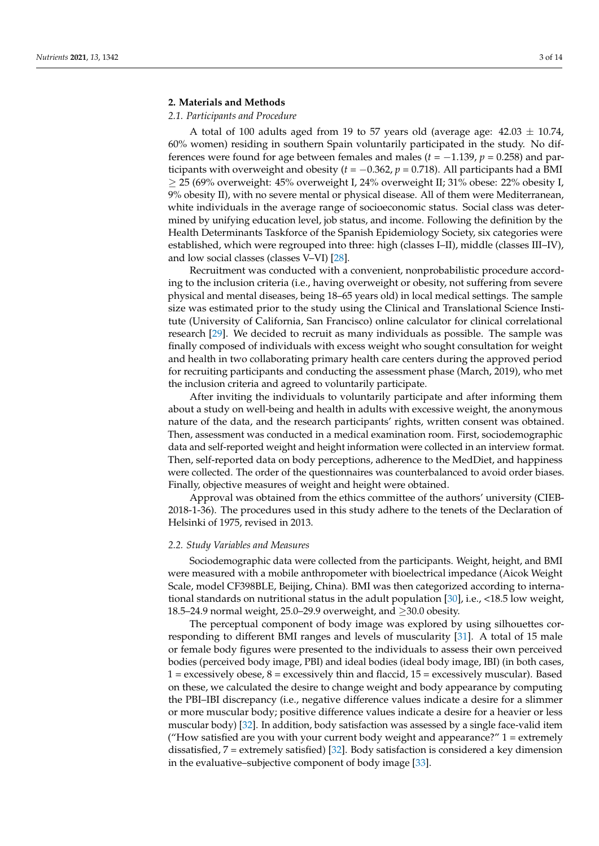## **2. Materials and Methods**

### *2.1. Participants and Procedure*

A total of 100 adults aged from 19 to 57 years old (average age:  $42.03 \pm 10.74$ , 60% women) residing in southern Spain voluntarily participated in the study. No differences were found for age between females and males ( $t = -1.139$ ,  $p = 0.258$ ) and participants with overweight and obesity ( $t = -0.362$ ,  $p = 0.718$ ). All participants had a BMI ≥ 25 (69% overweight: 45% overweight I, 24% overweight II; 31% obese: 22% obesity I, 9% obesity II), with no severe mental or physical disease. All of them were Mediterranean, white individuals in the average range of socioeconomic status. Social class was determined by unifying education level, job status, and income. Following the definition by the Health Determinants Taskforce of the Spanish Epidemiology Society, six categories were established, which were regrouped into three: high (classes I–II), middle (classes III–IV), and low social classes (classes V–VI) [\[28\]](#page-11-12).

Recruitment was conducted with a convenient, nonprobabilistic procedure according to the inclusion criteria (i.e., having overweight or obesity, not suffering from severe physical and mental diseases, being 18–65 years old) in local medical settings. The sample size was estimated prior to the study using the Clinical and Translational Science Institute (University of California, San Francisco) online calculator for clinical correlational research [\[29\]](#page-11-13). We decided to recruit as many individuals as possible. The sample was finally composed of individuals with excess weight who sought consultation for weight and health in two collaborating primary health care centers during the approved period for recruiting participants and conducting the assessment phase (March, 2019), who met the inclusion criteria and agreed to voluntarily participate.

After inviting the individuals to voluntarily participate and after informing them about a study on well-being and health in adults with excessive weight, the anonymous nature of the data, and the research participants' rights, written consent was obtained. Then, assessment was conducted in a medical examination room. First, sociodemographic data and self-reported weight and height information were collected in an interview format. Then, self-reported data on body perceptions, adherence to the MedDiet, and happiness were collected. The order of the questionnaires was counterbalanced to avoid order biases. Finally, objective measures of weight and height were obtained.

Approval was obtained from the ethics committee of the authors' university (CIEB-2018-1-36). The procedures used in this study adhere to the tenets of the Declaration of Helsinki of 1975, revised in 2013.

#### *2.2. Study Variables and Measures*

Sociodemographic data were collected from the participants. Weight, height, and BMI were measured with a mobile anthropometer with bioelectrical impedance (Aicok Weight Scale, model CF398BLE, Beijing, China). BMI was then categorized according to international standards on nutritional status in the adult population [\[30\]](#page-11-14), i.e., <18.5 low weight, 18.5–24.9 normal weight, 25.0–29.9 overweight, and  $\geq$ 30.0 obesity.

The perceptual component of body image was explored by using silhouettes corresponding to different BMI ranges and levels of muscularity [\[31\]](#page-11-15). A total of 15 male or female body figures were presented to the individuals to assess their own perceived bodies (perceived body image, PBI) and ideal bodies (ideal body image, IBI) (in both cases,  $1 =$  excessively obese,  $8 =$  excessively thin and flaccid,  $15 =$  excessively muscular). Based on these, we calculated the desire to change weight and body appearance by computing the PBI–IBI discrepancy (i.e., negative difference values indicate a desire for a slimmer or more muscular body; positive difference values indicate a desire for a heavier or less muscular body) [\[32\]](#page-12-0). In addition, body satisfaction was assessed by a single face-valid item ("How satisfied are you with your current body weight and appearance?" 1 = extremely dissatisfied, 7 = extremely satisfied) [\[32\]](#page-12-0). Body satisfaction is considered a key dimension in the evaluative–subjective component of body image [\[33\]](#page-12-1).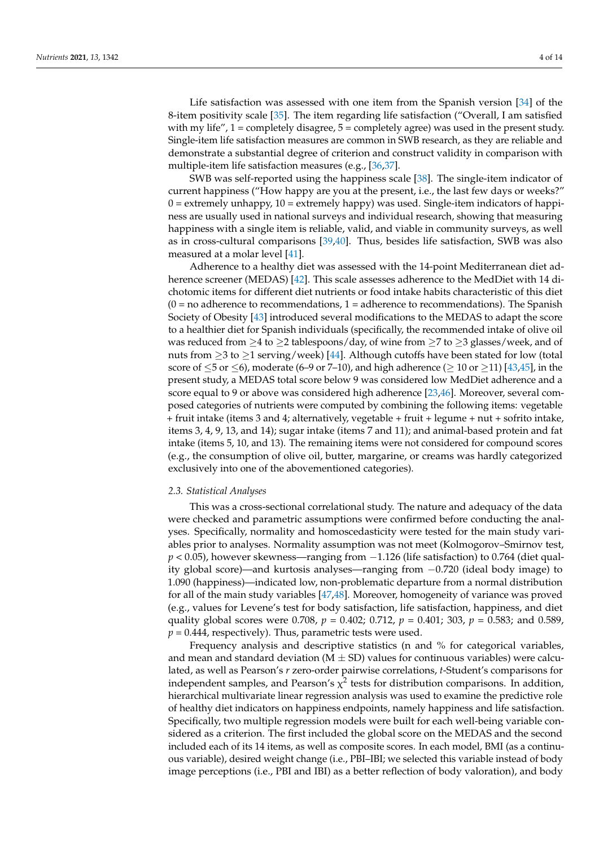Life satisfaction was assessed with one item from the Spanish version [\[34\]](#page-12-2) of the 8-item positivity scale [\[35\]](#page-12-3). The item regarding life satisfaction ("Overall, I am satisfied with my life",  $1 =$  completely disagree,  $5 =$  completely agree) was used in the present study. Single-item life satisfaction measures are common in SWB research, as they are reliable and demonstrate a substantial degree of criterion and construct validity in comparison with multiple-item life satisfaction measures (e.g., [\[36,](#page-12-4)[37\]](#page-12-5).

SWB was self-reported using the happiness scale [\[38\]](#page-12-6). The single-item indicator of current happiness ("How happy are you at the present, i.e., the last few days or weeks?"  $0 =$  extremely unhappy,  $10 =$  extremely happy) was used. Single-item indicators of happiness are usually used in national surveys and individual research, showing that measuring happiness with a single item is reliable, valid, and viable in community surveys, as well as in cross-cultural comparisons [\[39](#page-12-7)[,40\]](#page-12-8). Thus, besides life satisfaction, SWB was also measured at a molar level [\[41\]](#page-12-9).

Adherence to a healthy diet was assessed with the 14-point Mediterranean diet adherence screener (MEDAS) [\[42\]](#page-12-10). This scale assesses adherence to the MedDiet with 14 dichotomic items for different diet nutrients or food intake habits characteristic of this diet  $(0 = no$  adherence to recommendations,  $1 =$  adherence to recommendations). The Spanish Society of Obesity [\[43\]](#page-12-11) introduced several modifications to the MEDAS to adapt the score to a healthier diet for Spanish individuals (specifically, the recommended intake of olive oil was reduced from  $\geq$ 4 to  $\geq$ 2 tablespoons/day, of wine from  $\geq$ 7 to  $\geq$ 3 glasses/week, and of nuts from  $\geq$ 3 to  $\geq$ 1 serving/week) [\[44\]](#page-12-12). Although cutoffs have been stated for low (total score of  $\leq$ 5 or  $\leq$ 6), moderate (6–9 or 7–10), and high adherence ( $\geq$  10 or  $\geq$ 11) [\[43,](#page-12-11)[45\]](#page-12-13), in the present study, a MEDAS total score below 9 was considered low MedDiet adherence and a score equal to 9 or above was considered high adherence [\[23](#page-11-9)[,46\]](#page-12-14). Moreover, several composed categories of nutrients were computed by combining the following items: vegetable + fruit intake (items 3 and 4; alternatively, vegetable + fruit + legume + nut + sofrito intake, items 3, 4, 9, 13, and 14); sugar intake (items 7 and 11); and animal-based protein and fat intake (items 5, 10, and 13). The remaining items were not considered for compound scores (e.g., the consumption of olive oil, butter, margarine, or creams was hardly categorized exclusively into one of the abovementioned categories).

#### *2.3. Statistical Analyses*

This was a cross-sectional correlational study. The nature and adequacy of the data were checked and parametric assumptions were confirmed before conducting the analyses. Specifically, normality and homoscedasticity were tested for the main study variables prior to analyses. Normality assumption was not meet (Kolmogorov–Smirnov test, *p* < 0.05), however skewness—ranging from −1.126 (life satisfaction) to 0.764 (diet quality global score)—and kurtosis analyses—ranging from −0.720 (ideal body image) to 1.090 (happiness)—indicated low, non-problematic departure from a normal distribution for all of the main study variables [\[47](#page-12-15)[,48\]](#page-12-16). Moreover, homogeneity of variance was proved (e.g., values for Levene's test for body satisfaction, life satisfaction, happiness, and diet quality global scores were 0.708, *p* = 0.402; 0.712, *p* = 0.401; 303, *p* = 0.583; and 0.589,  $p = 0.444$ , respectively). Thus, parametric tests were used.

Frequency analysis and descriptive statistics (n and % for categorical variables, and mean and standard deviation ( $M \pm SD$ ) values for continuous variables) were calculated, as well as Pearson's *r* zero-order pairwise correlations, *t*-Student's comparisons for independent samples, and Pearson's  $\chi^2$  tests for distribution comparisons. In addition, hierarchical multivariate linear regression analysis was used to examine the predictive role of healthy diet indicators on happiness endpoints, namely happiness and life satisfaction. Specifically, two multiple regression models were built for each well-being variable considered as a criterion. The first included the global score on the MEDAS and the second included each of its 14 items, as well as composite scores. In each model, BMI (as a continuous variable), desired weight change (i.e., PBI–IBI; we selected this variable instead of body image perceptions (i.e., PBI and IBI) as a better reflection of body valoration), and body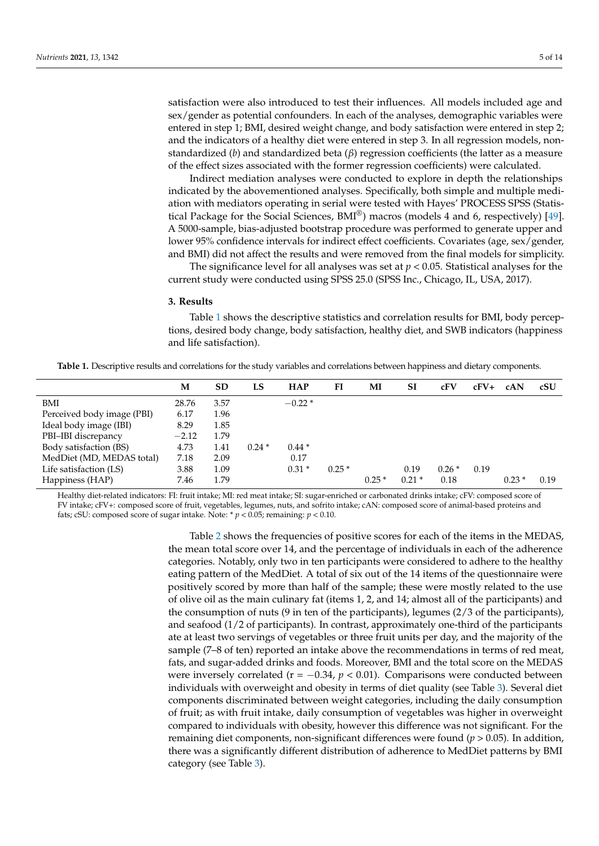satisfaction were also introduced to test their influences. All models included age and sex/gender as potential confounders. In each of the analyses, demographic variables were entered in step 1; BMI, desired weight change, and body satisfaction were entered in step 2; and the indicators of a healthy diet were entered in step 3. In all regression models, nonstandardized (*b*) and standardized beta (*β*) regression coefficients (the latter as a measure of the effect sizes associated with the former regression coefficients) were calculated.

Indirect mediation analyses were conducted to explore in depth the relationships indicated by the abovementioned analyses. Specifically, both simple and multiple mediation with mediators operating in serial were tested with Hayes' PROCESS SPSS (Statistical Package for the Social Sciences,  $BMI^{\circledR}$ ) macros (models 4 and 6, respectively) [\[49\]](#page-12-17). A 5000-sample, bias-adjusted bootstrap procedure was performed to generate upper and lower 95% confidence intervals for indirect effect coefficients. Covariates (age, sex/gender, and BMI) did not affect the results and were removed from the final models for simplicity.

The significance level for all analyses was set at *p* < 0.05. Statistical analyses for the current study were conducted using SPSS 25.0 (SPSS Inc., Chicago, IL, USA, 2017).

## **3. Results**

Table [1](#page-4-0) shows the descriptive statistics and correlation results for BMI, body perceptions, desired body change, body satisfaction, healthy diet, and SWB indicators (happiness and life satisfaction).

<span id="page-4-0"></span>**Table 1.** Descriptive results and correlations for the study variables and correlations between happiness and dietary components.

|                            | М       | <b>SD</b> | LS      | <b>HAP</b> | FI      | MI      | <b>SI</b> | cFV     | $cFV+$ | cAN     | cSU  |
|----------------------------|---------|-----------|---------|------------|---------|---------|-----------|---------|--------|---------|------|
| BMI                        | 28.76   | 3.57      |         | $-0.22*$   |         |         |           |         |        |         |      |
| Perceived body image (PBI) | 6.17    | 1.96      |         |            |         |         |           |         |        |         |      |
| Ideal body image (IBI)     | 8.29    | 1.85      |         |            |         |         |           |         |        |         |      |
| PBI-IBI discrepancy        | $-2.12$ | 1.79      |         |            |         |         |           |         |        |         |      |
| Body satisfaction (BS)     | 4.73    | 1.41      | $0.24*$ | $0.44*$    |         |         |           |         |        |         |      |
| MedDiet (MD, MEDAS total)  | 7.18    | 2.09      |         | 0.17       |         |         |           |         |        |         |      |
| Life satisfaction (LS)     | 3.88    | 1.09      |         | $0.31*$    | $0.25*$ |         | 0.19      | $0.26*$ | 0.19   |         |      |
| Happiness (HAP)            | 7.46    | 1.79      |         |            |         | $0.25*$ | $0.21*$   | 0.18    |        | $0.23*$ | 0.19 |

Healthy diet-related indicators: FI: fruit intake; MI: red meat intake; SI: sugar-enriched or carbonated drinks intake; cFV: composed score of FV intake; cFV+: composed score of fruit, vegetables, legumes, nuts, and sofrito intake; cAN: composed score of animal-based proteins and fats; cSU: composed score of sugar intake. Note: \* *p* < 0.05; remaining: *p* < 0.10.

> Table [2](#page-5-0) shows the frequencies of positive scores for each of the items in the MEDAS, the mean total score over 14, and the percentage of individuals in each of the adherence categories. Notably, only two in ten participants were considered to adhere to the healthy eating pattern of the MedDiet. A total of six out of the 14 items of the questionnaire were positively scored by more than half of the sample; these were mostly related to the use of olive oil as the main culinary fat (items 1, 2, and 14; almost all of the participants) and the consumption of nuts (9 in ten of the participants), legumes (2/3 of the participants), and seafood (1/2 of participants). In contrast, approximately one-third of the participants ate at least two servings of vegetables or three fruit units per day, and the majority of the sample (7–8 of ten) reported an intake above the recommendations in terms of red meat, fats, and sugar-added drinks and foods. Moreover, BMI and the total score on the MEDAS were inversely correlated ( $r = -0.34$ ,  $p < 0.01$ ). Comparisons were conducted between individuals with overweight and obesity in terms of diet quality (see Table [3\)](#page-5-1). Several diet components discriminated between weight categories, including the daily consumption of fruit; as with fruit intake, daily consumption of vegetables was higher in overweight compared to individuals with obesity, however this difference was not significant. For the remaining diet components, non-significant differences were found (*p* > 0.05). In addition, there was a significantly different distribution of adherence to MedDiet patterns by BMI category (see Table [3\)](#page-5-1).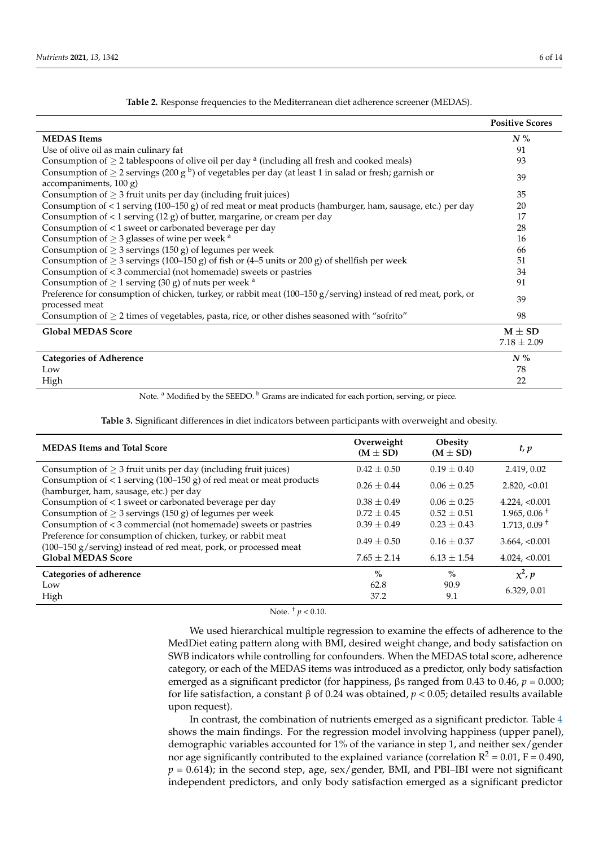<span id="page-5-0"></span>

|                                                                                                                                                  | <b>Positive Scores</b>        |
|--------------------------------------------------------------------------------------------------------------------------------------------------|-------------------------------|
| <b>MEDAS</b> Items                                                                                                                               | $N\%$                         |
| Use of olive oil as main culinary fat                                                                                                            | 91                            |
| Consumption of $\geq$ 2 tablespoons of olive oil per day <sup>a</sup> (including all fresh and cooked meals)                                     | 93                            |
| Consumption of $\geq$ 2 servings (200 g <sup>b</sup> ) of vegetables per day (at least 1 in salad or fresh; garnish or<br>accompaniments, 100 g) | 39                            |
| Consumption of $\geq$ 3 fruit units per day (including fruit juices)                                                                             | 35                            |
| Consumption of < 1 serving (100-150 g) of red meat or meat products (hamburger, ham, sausage, etc.) per day                                      | 20                            |
| Consumption of $<$ 1 serving (12 g) of butter, margarine, or cream per day                                                                       | 17                            |
| Consumption of < 1 sweet or carbonated beverage per day                                                                                          | 28                            |
| Consumption of $\geq$ 3 glasses of wine per week $a$                                                                                             | 16                            |
| Consumption of $\geq$ 3 servings (150 g) of legumes per week                                                                                     | 66                            |
| Consumption of $\geq$ 3 servings (100–150 g) of fish or (4–5 units or 200 g) of shellfish per week                                               | 51                            |
| Consumption of < 3 commercial (not homemade) sweets or pastries                                                                                  | 34                            |
| Consumption of $\geq 1$ serving (30 g) of nuts per week <sup>a</sup>                                                                             | 91                            |
| Preference for consumption of chicken, turkey, or rabbit meat $(100-150 g/\text{serving})$ instead of red meat, pork, or<br>processed meat       | 39                            |
| Consumption of $\geq$ 2 times of vegetables, pasta, rice, or other dishes seasoned with "sofrito"                                                | 98                            |
| <b>Global MEDAS Score</b>                                                                                                                        | $M \pm SD$<br>$7.18 \pm 2.09$ |
| <b>Categories of Adherence</b>                                                                                                                   | $N\%$                         |
| Low                                                                                                                                              | 78                            |
| High                                                                                                                                             | 22                            |

**Table 2.** Response frequencies to the Mediterranean diet adherence screener (MEDAS).

Note. <sup>a</sup> Modified by the SEEDO. <sup>b</sup> Grams are indicated for each portion, serving, or piece.

**Table 3.** Significant differences in diet indicators between participants with overweight and obesity.

<span id="page-5-1"></span>

| <b>MEDAS Items and Total Score</b>                                                                                                | Overweight<br>$(M \pm SD)$ | <b>Obesity</b><br>$(M \pm SD)$ | t, p                       |
|-----------------------------------------------------------------------------------------------------------------------------------|----------------------------|--------------------------------|----------------------------|
| Consumption of $\geq$ 3 fruit units per day (including fruit juices)                                                              | $0.42 \pm 0.50$            | $0.19 \pm 0.40$                | 2.419, 0.02                |
| Consumption of $<$ 1 serving (100–150 g) of red meat or meat products<br>(hamburger, ham, sausage, etc.) per day                  | $0.26 + 0.44$              | $0.06 + 0.25$                  | 2.820, < 0.01              |
| Consumption of < 1 sweet or carbonated beverage per day                                                                           | $0.38 \pm 0.49$            | $0.06 + 0.25$                  | $4.224$ , $< 0.001$        |
| Consumption of $\geq$ 3 servings (150 g) of legumes per week                                                                      | $0.72 \pm 0.45$            | $0.52 \pm 0.51$                | $1.965, 0.06$ <sup>+</sup> |
| Consumption of < 3 commercial (not homemade) sweets or pastries                                                                   | $0.39 + 0.49$              | $0.23 \pm 0.43$                | $1.713, 0.09$ <sup>+</sup> |
| Preference for consumption of chicken, turkey, or rabbit meat<br>(100–150 g/serving) instead of red meat, pork, or processed meat | $0.49 + 0.50$              | $0.16 + 0.37$                  | 3.664, < 0.001             |
| <b>Global MEDAS Score</b>                                                                                                         | $7.65 \pm 2.14$            | $6.13 \pm 1.54$                | 4.024, < 0.001             |
| Categories of adherence                                                                                                           | $\%$                       | $\%$                           | $x^2$ , p                  |
| Low                                                                                                                               | 62.8                       | 90.9                           | 6.329, 0.01                |
| High                                                                                                                              | 37.2                       | 9.1                            |                            |

Note.  $\frac{+}{p}$  < 0.10.

We used hierarchical multiple regression to examine the effects of adherence to the MedDiet eating pattern along with BMI, desired weight change, and body satisfaction on SWB indicators while controlling for confounders. When the MEDAS total score, adherence category, or each of the MEDAS items was introduced as a predictor, only body satisfaction emerged as a significant predictor (for happiness, βs ranged from 0.43 to 0.46, *p* = 0.000; for life satisfaction, a constant β of 0.24 was obtained, *p* < 0.05; detailed results available upon request).

In contrast, the combination of nutrients emerged as a significant predictor. Table [4](#page-6-0) shows the main findings. For the regression model involving happiness (upper panel), demographic variables accounted for 1% of the variance in step 1, and neither sex/gender nor age significantly contributed to the explained variance (correlation  $R^2 = 0.01$ ,  $F = 0.490$ ,  $p = 0.614$ ); in the second step, age, sex/gender, BMI, and PBI-IBI were not significant independent predictors, and only body satisfaction emerged as a significant predictor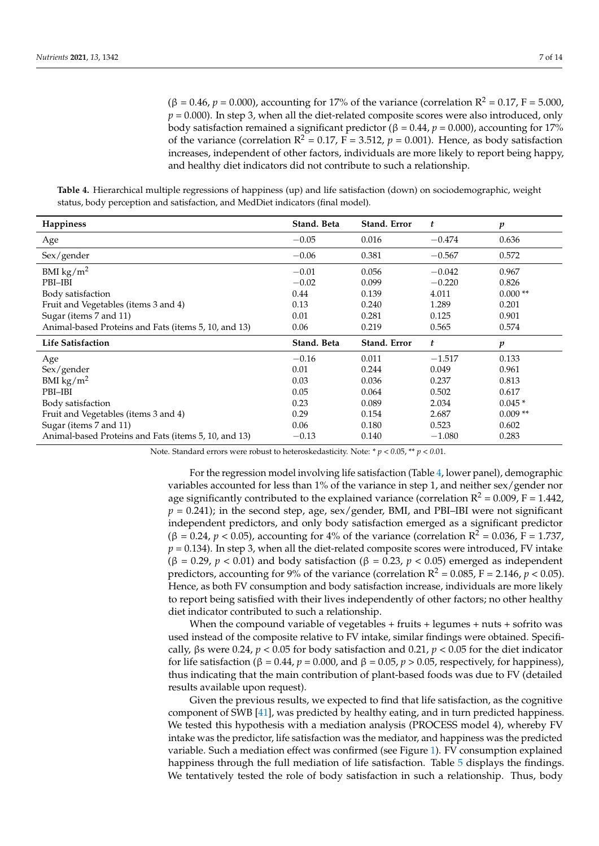$(β = 0.46, p = 0.000)$ , accounting for 17% of the variance (correlation R<sup>2</sup> = 0.17, F = 5.000,  $p = 0.000$ ). In step 3, when all the diet-related composite scores were also introduced, only body satisfaction remained a significant predictor ( $β = 0.44$ ,  $p = 0.000$ ), accounting for 17% of the variance (correlation  $R^2 = 0.17$ , F = 3.512,  $p = 0.001$ ). Hence, as body satisfaction increases, independent of other factors, individuals are more likely to report being happy, and healthy diet indicators did not contribute to such a relationship.

<span id="page-6-0"></span>**Table 4.** Hierarchical multiple regressions of happiness (up) and life satisfaction (down) on sociodemographic, weight status, body perception and satisfaction, and MedDiet indicators (final model).

| Happiness                                            | Stand. Beta | Stand. Error | t        | p                |
|------------------------------------------------------|-------------|--------------|----------|------------------|
| Age                                                  | $-0.05$     | 0.016        | $-0.474$ | 0.636            |
| Sex/gender                                           | $-0.06$     | 0.381        | $-0.567$ | 0.572            |
| BMI $\text{kg/m}^2$                                  | $-0.01$     | 0.056        | $-0.042$ | 0.967            |
| PBI-IBI                                              | $-0.02$     | 0.099        | $-0.220$ | 0.826            |
| Body satisfaction                                    | 0.44        | 0.139        | 4.011    | $0.000**$        |
| Fruit and Vegetables (items 3 and 4)                 | 0.13        | 0.240        | 1.289    | 0.201            |
| Sugar (items 7 and 11)                               | 0.01        | 0.281        | 0.125    | 0.901            |
| Animal-based Proteins and Fats (items 5, 10, and 13) | 0.06        | 0.219        | 0.565    | 0.574            |
| <b>Life Satisfaction</b>                             | Stand. Beta | Stand. Error | t        | $\boldsymbol{p}$ |
| Age                                                  | $-0.16$     | 0.011        | $-1.517$ | 0.133            |
| Sex/gender                                           | 0.01        | 0.244        | 0.049    | 0.961            |
| BMI $\text{kg/m}^2$                                  | 0.03        | 0.036        | 0.237    | 0.813            |
| PBI-IBI                                              | 0.05        | 0.064        | 0.502    | 0.617            |
| Body satisfaction                                    | 0.23        | 0.089        | 2.034    | $0.045*$         |
| Fruit and Vegetables (items 3 and 4)                 | 0.29        | 0.154        | 2.687    | $0.009**$        |
| Sugar (items 7 and 11)                               | 0.06        | 0.180        | 0.523    | 0.602            |
| Animal-based Proteins and Fats (items 5, 10, and 13) | $-0.13$     | 0.140        | $-1.080$ | 0.283            |

Note. Standard errors were robust to heteroskedasticity. Note: \* *p* < *0*.05, \*\* *p* < *0*.01.

For the regression model involving life satisfaction (Table [4,](#page-6-0) lower panel), demographic variables accounted for less than 1% of the variance in step 1, and neither sex/gender nor age significantly contributed to the explained variance (correlation  $R^2 = 0.009$ ,  $F = 1.442$ ,  $p = 0.241$ ); in the second step, age, sex/gender, BMI, and PBI-IBI were not significant independent predictors, and only body satisfaction emerged as a significant predictor  $(\beta = 0.24, p < 0.05)$ , accounting for 4% of the variance (correlation R<sup>2</sup> = 0.036, F = 1.737,  $p = 0.134$ ). In step 3, when all the diet-related composite scores were introduced, FV intake ( $\beta$  = 0.29, *p* < 0.01) and body satisfaction ( $\beta$  = 0.23, *p* < 0.05) emerged as independent predictors, accounting for 9% of the variance (correlation  $R^2 = 0.085$ ,  $F = 2.146$ ,  $p < 0.05$ ). Hence, as both FV consumption and body satisfaction increase, individuals are more likely to report being satisfied with their lives independently of other factors; no other healthy diet indicator contributed to such a relationship.

When the compound variable of vegetables  $+$  fruits  $+$  legumes  $+$  nuts  $+$  sofrito was used instead of the composite relative to FV intake, similar findings were obtained. Specifically, βs were 0.24, *p* < 0.05 for body satisfaction and 0.21, *p* < 0.05 for the diet indicator for life satisfaction (β = 0.44,  $p = 0.000$ , and β = 0.05,  $p > 0.05$ , respectively, for happiness), thus indicating that the main contribution of plant-based foods was due to FV (detailed results available upon request).

Given the previous results, we expected to find that life satisfaction, as the cognitive component of SWB [\[41\]](#page-12-9), was predicted by healthy eating, and in turn predicted happiness. We tested this hypothesis with a mediation analysis (PROCESS model 4), whereby FV intake was the predictor, life satisfaction was the mediator, and happiness was the predicted variable. Such a mediation effect was confirmed (see Figure [1\)](#page-7-0). FV consumption explained happiness through the full mediation of life satisfaction. Table [5](#page-7-1) displays the findings. We tentatively tested the role of body satisfaction in such a relationship. Thus, body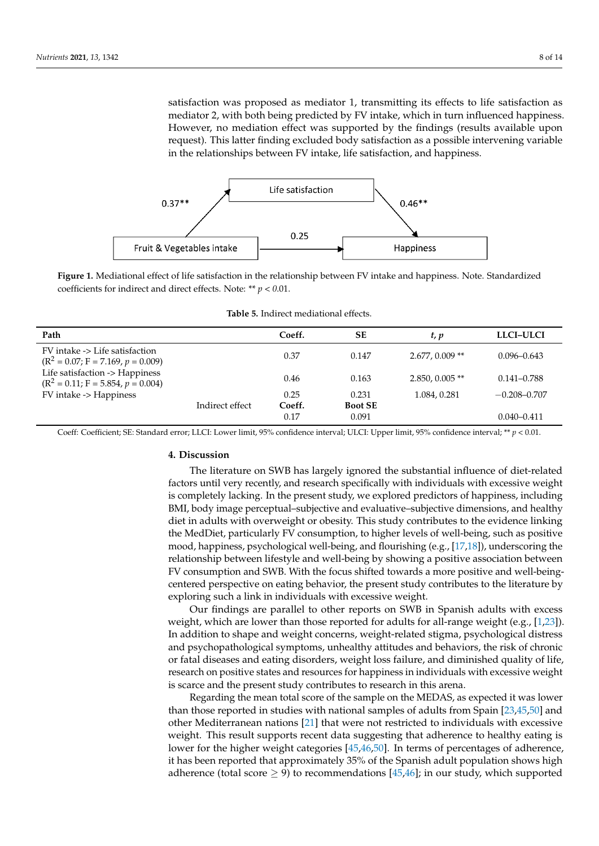satisfaction was proposed as mediator 1, transmitting its effects to life satisfaction as mediator 2, with both being predicted by FV intake, which in turn influenced happiness. However, no mediation effect was supported by the findings (results available upon request). This latter finding excluded body satisfaction as a possible intervening variable in the relationships between FV intake, life satisfaction, and happiness. –

<span id="page-7-0"></span>

**Figure 1.** Mediational effect of life satisfaction in the relationship between FV intake and happiness. Note. Standardized coefficients for indirect and direct effects. Note: \*\* *p* < *0*.01.

<span id="page-7-1"></span>

| Path                                                                   |                 | Coeff.         | <b>SE</b>               | t, p              | LLCI-ULCI        |
|------------------------------------------------------------------------|-----------------|----------------|-------------------------|-------------------|------------------|
| FV intake -> Life satisfaction<br>$(R^2 = 0.07; F = 7.169, p = 0.009)$ |                 | 0.37           | 0.147                   | $2.677, 0.009$ ** | $0.096 - 0.643$  |
| Life satisfaction -> Happiness<br>$(R2 = 0.11; F = 5.854, p = 0.004)$  |                 | 0.46           | 0.163                   | $2.850, 0.005$ ** | $0.141 - 0.788$  |
| FV intake -> Happiness                                                 | Indirect effect | 0.25<br>Coeff. | 0.231<br><b>Boot SE</b> | 1.084, 0.281      | $-0.208 - 0.707$ |
|                                                                        |                 | 0.17           | 0.091                   |                   | $0.040 - 0.411$  |

**Table 5.** Indirect mediational effects.

Coeff: Coefficient; SE: Standard error; LLCI: Lower limit, 95% confidence interval; ULCI: Upper limit, 95% confidence interval; \*\* *p* < 0.01.

# **4. Discussion**

The literature on SWB has largely ignored the substantial influence of diet-related factors until very recently, and research specifically with individuals with excessive weight is completely lacking. In the present study, we explored predictors of happiness, including BMI, body image perceptual–subjective and evaluative–subjective dimensions, and healthy diet in adults with overweight or obesity. This study contributes to the evidence linking the MedDiet, particularly FV consumption, to higher levels of well-being, such as positive mood, happiness, psychological well-being, and flourishing (e.g., [\[17,](#page-11-4)[18\]](#page-11-5)), underscoring the relationship between lifestyle and well-being by showing a positive association between FV consumption and SWB. With the focus shifted towards a more positive and well-beingcentered perspective on eating behavior, the present study contributes to the literature by exploring such a link in individuals with excessive weight.

Our findings are parallel to other reports on SWB in Spanish adults with excess weight, which are lower than those reported for adults for all-range weight (e.g.,  $[1,23]$  $[1,23]$ ). In addition to shape and weight concerns, weight-related stigma, psychological distress and psychopathological symptoms, unhealthy attitudes and behaviors, the risk of chronic or fatal diseases and eating disorders, weight loss failure, and diminished quality of life, research on positive states and resources for happiness in individuals with excessive weight is scarce and the present study contributes to research in this arena.

Regarding the mean total score of the sample on the MEDAS, as expected it was lower than those reported in studies with national samples of adults from Spain [\[23](#page-11-9)[,45](#page-12-13)[,50\]](#page-12-18) and other Mediterranean nations [\[21\]](#page-11-8) that were not restricted to individuals with excessive weight. This result supports recent data suggesting that adherence to healthy eating is lower for the higher weight categories [\[45](#page-12-13)[,46](#page-12-14)[,50\]](#page-12-18). In terms of percentages of adherence, it has been reported that approximately 35% of the Spanish adult population shows high adherence (total score  $\geq$  9) to recommendations [\[45,](#page-12-13)[46\]](#page-12-14); in our study, which supported

**–** –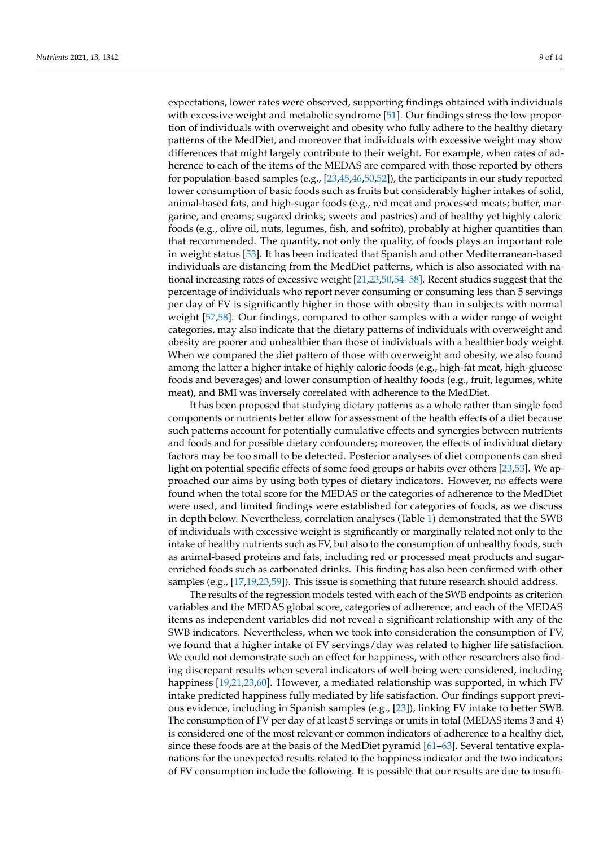expectations, lower rates were observed, supporting findings obtained with individuals with excessive weight and metabolic syndrome [\[51\]](#page-12-19). Our findings stress the low proportion of individuals with overweight and obesity who fully adhere to the healthy dietary patterns of the MedDiet, and moreover that individuals with excessive weight may show differences that might largely contribute to their weight. For example, when rates of adherence to each of the items of the MEDAS are compared with those reported by others for population-based samples (e.g., [\[23](#page-11-9)[,45](#page-12-13)[,46,](#page-12-14)[50,](#page-12-18)[52\]](#page-12-20)), the participants in our study reported lower consumption of basic foods such as fruits but considerably higher intakes of solid, animal-based fats, and high-sugar foods (e.g., red meat and processed meats; butter, margarine, and creams; sugared drinks; sweets and pastries) and of healthy yet highly caloric foods (e.g., olive oil, nuts, legumes, fish, and sofrito), probably at higher quantities than that recommended. The quantity, not only the quality, of foods plays an important role in weight status [\[53\]](#page-12-21). It has been indicated that Spanish and other Mediterranean-based individuals are distancing from the MedDiet patterns, which is also associated with national increasing rates of excessive weight [\[21,](#page-11-8)[23](#page-11-9)[,50](#page-12-18)[,54–](#page-12-22)[58\]](#page-13-0). Recent studies suggest that the percentage of individuals who report never consuming or consuming less than 5 servings per day of FV is significantly higher in those with obesity than in subjects with normal weight [\[57](#page-13-1)[,58\]](#page-13-0). Our findings, compared to other samples with a wider range of weight categories, may also indicate that the dietary patterns of individuals with overweight and obesity are poorer and unhealthier than those of individuals with a healthier body weight. When we compared the diet pattern of those with overweight and obesity, we also found among the latter a higher intake of highly caloric foods (e.g., high-fat meat, high-glucose foods and beverages) and lower consumption of healthy foods (e.g., fruit, legumes, white meat), and BMI was inversely correlated with adherence to the MedDiet.

It has been proposed that studying dietary patterns as a whole rather than single food components or nutrients better allow for assessment of the health effects of a diet because such patterns account for potentially cumulative effects and synergies between nutrients and foods and for possible dietary confounders; moreover, the effects of individual dietary factors may be too small to be detected. Posterior analyses of diet components can shed light on potential specific effects of some food groups or habits over others [\[23,](#page-11-9)[53\]](#page-12-21). We approached our aims by using both types of dietary indicators. However, no effects were found when the total score for the MEDAS or the categories of adherence to the MedDiet were used, and limited findings were established for categories of foods, as we discuss in depth below. Nevertheless, correlation analyses (Table [1\)](#page-4-0) demonstrated that the SWB of individuals with excessive weight is significantly or marginally related not only to the intake of healthy nutrients such as FV, but also to the consumption of unhealthy foods, such as animal-based proteins and fats, including red or processed meat products and sugarenriched foods such as carbonated drinks. This finding has also been confirmed with other samples (e.g., [\[17,](#page-11-4)[19](#page-11-6)[,23](#page-11-9)[,59\]](#page-13-2)). This issue is something that future research should address.

The results of the regression models tested with each of the SWB endpoints as criterion variables and the MEDAS global score, categories of adherence, and each of the MEDAS items as independent variables did not reveal a significant relationship with any of the SWB indicators. Nevertheless, when we took into consideration the consumption of FV, we found that a higher intake of FV servings/day was related to higher life satisfaction. We could not demonstrate such an effect for happiness, with other researchers also finding discrepant results when several indicators of well-being were considered, including happiness [\[19,](#page-11-6)[21,](#page-11-8)[23,](#page-11-9)[60\]](#page-13-3). However, a mediated relationship was supported, in which FV intake predicted happiness fully mediated by life satisfaction. Our findings support previous evidence, including in Spanish samples (e.g., [\[23\]](#page-11-9)), linking FV intake to better SWB. The consumption of FV per day of at least 5 servings or units in total (MEDAS items 3 and 4) is considered one of the most relevant or common indicators of adherence to a healthy diet, since these foods are at the basis of the MedDiet pyramid [\[61](#page-13-4)[–63\]](#page-13-5). Several tentative explanations for the unexpected results related to the happiness indicator and the two indicators of FV consumption include the following. It is possible that our results are due to insuffi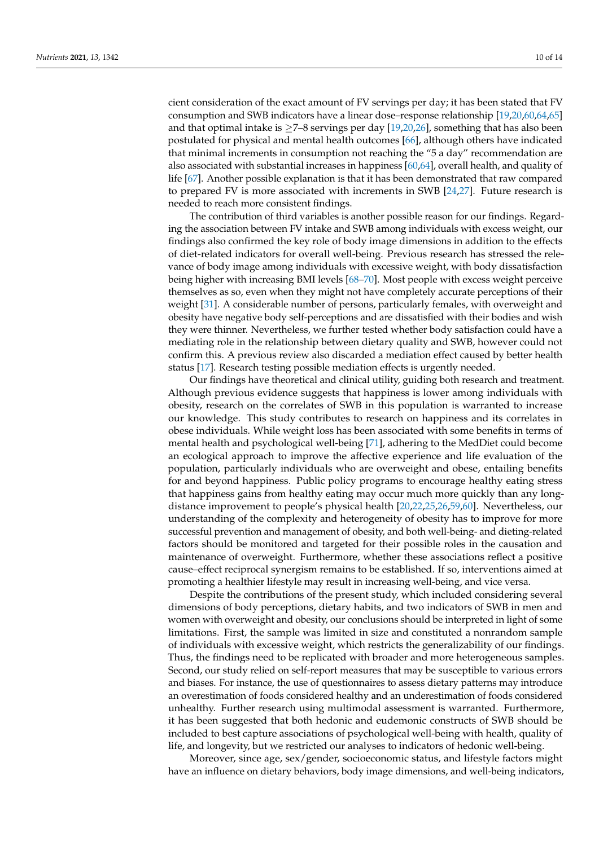cient consideration of the exact amount of FV servings per day; it has been stated that FV consumption and SWB indicators have a linear dose–response relationship [\[19](#page-11-6)[,20](#page-11-7)[,60,](#page-13-3)[64,](#page-13-6)[65\]](#page-13-7) and that optimal intake is  $\geq$ 7-8 servings per day [\[19](#page-11-6)[,20,](#page-11-7)[26\]](#page-11-16), something that has also been postulated for physical and mental health outcomes [\[66\]](#page-13-8), although others have indicated that minimal increments in consumption not reaching the "5 a day" recommendation are also associated with substantial increases in happiness [\[60](#page-13-3)[,64\]](#page-13-6), overall health, and quality of life [\[67\]](#page-13-9). Another possible explanation is that it has been demonstrated that raw compared to prepared FV is more associated with increments in SWB [\[24,](#page-11-10)[27\]](#page-11-11). Future research is needed to reach more consistent findings.

The contribution of third variables is another possible reason for our findings. Regarding the association between FV intake and SWB among individuals with excess weight, our findings also confirmed the key role of body image dimensions in addition to the effects of diet-related indicators for overall well-being. Previous research has stressed the relevance of body image among individuals with excessive weight, with body dissatisfaction being higher with increasing BMI levels [\[68–](#page-13-10)[70\]](#page-13-11). Most people with excess weight perceive themselves as so, even when they might not have completely accurate perceptions of their weight [\[31\]](#page-11-15). A considerable number of persons, particularly females, with overweight and obesity have negative body self-perceptions and are dissatisfied with their bodies and wish they were thinner. Nevertheless, we further tested whether body satisfaction could have a mediating role in the relationship between dietary quality and SWB, however could not confirm this. A previous review also discarded a mediation effect caused by better health status [\[17\]](#page-11-4). Research testing possible mediation effects is urgently needed.

Our findings have theoretical and clinical utility, guiding both research and treatment. Although previous evidence suggests that happiness is lower among individuals with obesity, research on the correlates of SWB in this population is warranted to increase our knowledge. This study contributes to research on happiness and its correlates in obese individuals. While weight loss has been associated with some benefits in terms of mental health and psychological well-being [\[71\]](#page-13-12), adhering to the MedDiet could become an ecological approach to improve the affective experience and life evaluation of the population, particularly individuals who are overweight and obese, entailing benefits for and beyond happiness. Public policy programs to encourage healthy eating stress that happiness gains from healthy eating may occur much more quickly than any longdistance improvement to people's physical health [\[20,](#page-11-7)[22,](#page-11-17)[25,](#page-11-18)[26,](#page-11-16)[59,](#page-13-2)[60\]](#page-13-3). Nevertheless, our understanding of the complexity and heterogeneity of obesity has to improve for more successful prevention and management of obesity, and both well-being- and dieting-related factors should be monitored and targeted for their possible roles in the causation and maintenance of overweight. Furthermore, whether these associations reflect a positive cause–effect reciprocal synergism remains to be established. If so, interventions aimed at promoting a healthier lifestyle may result in increasing well-being, and vice versa.

Despite the contributions of the present study, which included considering several dimensions of body perceptions, dietary habits, and two indicators of SWB in men and women with overweight and obesity, our conclusions should be interpreted in light of some limitations. First, the sample was limited in size and constituted a nonrandom sample of individuals with excessive weight, which restricts the generalizability of our findings. Thus, the findings need to be replicated with broader and more heterogeneous samples. Second, our study relied on self-report measures that may be susceptible to various errors and biases. For instance, the use of questionnaires to assess dietary patterns may introduce an overestimation of foods considered healthy and an underestimation of foods considered unhealthy. Further research using multimodal assessment is warranted. Furthermore, it has been suggested that both hedonic and eudemonic constructs of SWB should be included to best capture associations of psychological well-being with health, quality of life, and longevity, but we restricted our analyses to indicators of hedonic well-being.

Moreover, since age, sex/gender, socioeconomic status, and lifestyle factors might have an influence on dietary behaviors, body image dimensions, and well-being indicators,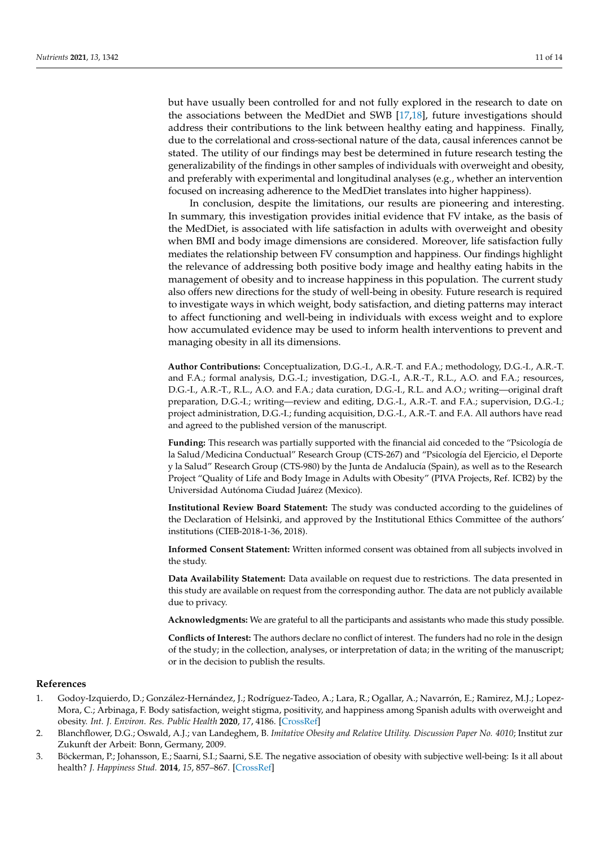but have usually been controlled for and not fully explored in the research to date on the associations between the MedDiet and SWB [\[17,](#page-11-4)[18\]](#page-11-5), future investigations should address their contributions to the link between healthy eating and happiness. Finally, due to the correlational and cross-sectional nature of the data, causal inferences cannot be stated. The utility of our findings may best be determined in future research testing the generalizability of the findings in other samples of individuals with overweight and obesity, and preferably with experimental and longitudinal analyses (e.g., whether an intervention focused on increasing adherence to the MedDiet translates into higher happiness).

In conclusion, despite the limitations, our results are pioneering and interesting. In summary, this investigation provides initial evidence that FV intake, as the basis of the MedDiet, is associated with life satisfaction in adults with overweight and obesity when BMI and body image dimensions are considered. Moreover, life satisfaction fully mediates the relationship between FV consumption and happiness. Our findings highlight the relevance of addressing both positive body image and healthy eating habits in the management of obesity and to increase happiness in this population. The current study also offers new directions for the study of well-being in obesity. Future research is required to investigate ways in which weight, body satisfaction, and dieting patterns may interact to affect functioning and well-being in individuals with excess weight and to explore how accumulated evidence may be used to inform health interventions to prevent and managing obesity in all its dimensions.

**Author Contributions:** Conceptualization, D.G.-I., A.R.-T. and F.A.; methodology, D.G.-I., A.R.-T. and F.A.; formal analysis, D.G.-I.; investigation, D.G.-I., A.R.-T., R.L., A.O. and F.A.; resources, D.G.-I., A.R.-T., R.L., A.O. and F.A.; data curation, D.G.-I., R.L. and A.O.; writing—original draft preparation, D.G.-I.; writing—review and editing, D.G.-I., A.R.-T. and F.A.; supervision, D.G.-I.; project administration, D.G.-I.; funding acquisition, D.G.-I., A.R.-T. and F.A. All authors have read and agreed to the published version of the manuscript.

**Funding:** This research was partially supported with the financial aid conceded to the "Psicología de la Salud/Medicina Conductual" Research Group (CTS-267) and "Psicología del Ejercicio, el Deporte y la Salud" Research Group (CTS-980) by the Junta de Andalucía (Spain), as well as to the Research Project "Quality of Life and Body Image in Adults with Obesity" (PIVA Projects, Ref. ICB2) by the Universidad Autónoma Ciudad Juárez (Mexico).

**Institutional Review Board Statement:** The study was conducted according to the guidelines of the Declaration of Helsinki, and approved by the Institutional Ethics Committee of the authors' institutions (CIEB-2018-1-36, 2018).

**Informed Consent Statement:** Written informed consent was obtained from all subjects involved in the study.

**Data Availability Statement:** Data available on request due to restrictions. The data presented in this study are available on request from the corresponding author. The data are not publicly available due to privacy.

**Acknowledgments:** We are grateful to all the participants and assistants who made this study possible.

**Conflicts of Interest:** The authors declare no conflict of interest. The funders had no role in the design of the study; in the collection, analyses, or interpretation of data; in the writing of the manuscript; or in the decision to publish the results.

#### **References**

- <span id="page-10-0"></span>1. Godoy-Izquierdo, D.; González-Hernández, J.; Rodríguez-Tadeo, A.; Lara, R.; Ogallar, A.; Navarrón, E.; Ramirez, M.J.; Lopez-Mora, C.; Arbinaga, F. Body satisfaction, weight stigma, positivity, and happiness among Spanish adults with overweight and obesity. *Int. J. Environ. Res. Public Health* **2020**, *17*, 4186. [\[CrossRef\]](http://doi.org/10.3390/ijerph17124186)
- <span id="page-10-1"></span>2. Blanchflower, D.G.; Oswald, A.J.; van Landeghem, B. *Imitative Obesity and Relative Utility. Discussion Paper No. 4010*; Institut zur Zukunft der Arbeit: Bonn, Germany, 2009.
- 3. Böckerman, P.; Johansson, E.; Saarni, S.I.; Saarni, S.E. The negative association of obesity with subjective well-being: Is it all about health? *J. Happiness Stud.* **2014**, *15*, 857–867. [\[CrossRef\]](http://doi.org/10.1007/s10902-013-9453-8)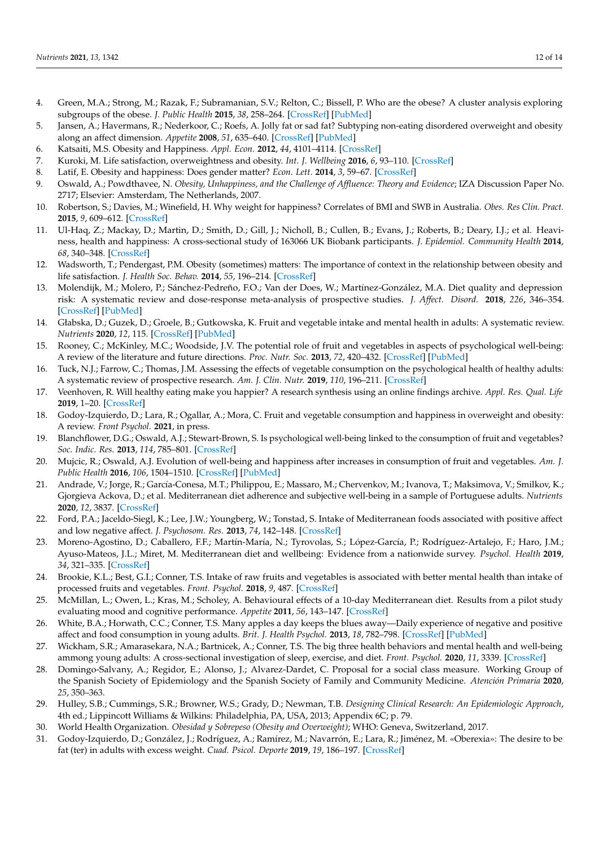- 4. Green, M.A.; Strong, M.; Razak, F.; Subramanian, S.V.; Relton, C.; Bissell, P. Who are the obese? A cluster analysis exploring subgroups of the obese. *J. Public Health* **2015**, *38*, 258–264. [\[CrossRef\]](http://doi.org/10.1093/pubmed/fdv040) [\[PubMed\]](http://www.ncbi.nlm.nih.gov/pubmed/25889387)
- 5. Jansen, A.; Havermans, R.; Nederkoor, C.; Roefs, A. Jolly fat or sad fat? Subtyping non-eating disordered overweight and obesity along an affect dimension. *Appetite* **2008**, *51*, 635–640. [\[CrossRef\]](http://doi.org/10.1016/j.appet.2008.05.055) [\[PubMed\]](http://www.ncbi.nlm.nih.gov/pubmed/18597892)
- 6. Katsaiti, M.S. Obesity and Happiness. *Appl. Econ.* **2012**, *44*, 4101–4114. [\[CrossRef\]](http://doi.org/10.1080/00036846.2011.587779)
- 7. Kuroki, M. Life satisfaction, overweightness and obesity. *Int. J. Wellbeing* **2016**, *6*, 93–110. [\[CrossRef\]](http://doi.org/10.5502/ijw.v6i2.519)
- 8. Latif, E. Obesity and happiness: Does gender matter? *Econ. Lett.* **2014**, *3*, 59–67. [\[CrossRef\]](http://doi.org/10.17811/ebl.3.1.2014.59-67)
- 9. Oswald, A.; Powdthavee, N. *Obesity, Unhappiness, and the Challenge of Affluence: Theory and Evidence*; IZA Discussion Paper No. 2717; Elsevier: Amsterdam, The Netherlands, 2007.
- 10. Robertson, S.; Davies, M.; Winefield, H. Why weight for happiness? Correlates of BMI and SWB in Australia. *Obes. Res Clin. Pract.* **2015**, *9*, 609–612. [\[CrossRef\]](http://doi.org/10.1016/j.orcp.2015.04.011)
- 11. Ul-Haq, Z.; Mackay, D.; Martin, D.; Smith, D.; Gill, J.; Nicholl, B.; Cullen, B.; Evans, J.; Roberts, B.; Deary, I.J.; et al. Heaviness, health and happiness: A cross-sectional study of 163066 UK Biobank participants. *J. Epidemiol. Community Health* **2014**, *68*, 340–348. [\[CrossRef\]](http://doi.org/10.1136/jech-2013-203077)
- <span id="page-11-0"></span>12. Wadsworth, T.; Pendergast, P.M. Obesity (sometimes) matters: The importance of context in the relationship between obesity and life satisfaction. *J. Health Soc. Behav.* **2014**, *55*, 196–214. [\[CrossRef\]](http://doi.org/10.1177/0022146514533347)
- <span id="page-11-1"></span>13. Molendijk, M.; Molero, P.; Sánchez-Pedreño, F.O.; Van der Does, W.; Martínez-González, M.A. Diet quality and depression risk: A systematic review and dose-response meta-analysis of prospective studies. *J. Affect. Disord.* **2018**, *226*, 346–354. [\[CrossRef\]](http://doi.org/10.1016/j.jad.2017.09.022) [\[PubMed\]](http://www.ncbi.nlm.nih.gov/pubmed/29031185)
- <span id="page-11-2"></span>14. Głabska, D.; Guzek, D.; Groele, B.; Gutkowska, K. Fruit and vegetable intake and mental health in adults: A systematic review. *Nutrients* **2020**, *12*, 115. [\[CrossRef\]](http://doi.org/10.3390/nu12010115) [\[PubMed\]](http://www.ncbi.nlm.nih.gov/pubmed/31906271)
- 15. Rooney, C.; McKinley, M.C.; Woodside, J.V. The potential role of fruit and vegetables in aspects of psychological well-being: A review of the literature and future directions. *Proc. Nutr. Soc.* **2013**, *72*, 420–432. [\[CrossRef\]](http://doi.org/10.1017/S0029665113003388) [\[PubMed\]](http://www.ncbi.nlm.nih.gov/pubmed/24020691)
- <span id="page-11-3"></span>16. Tuck, N.J.; Farrow, C.; Thomas, J.M. Assessing the effects of vegetable consumption on the psychological health of healthy adults: A systematic review of prospective research. *Am. J. Clin. Nutr.* **2019**, *110*, 196–211. [\[CrossRef\]](http://doi.org/10.1093/ajcn/nqz080)
- <span id="page-11-4"></span>17. Veenhoven, R. Will healthy eating make you happier? A research synthesis using an online findings archive. *Appl. Res. Qual. Life* **2019**, 1–20. [\[CrossRef\]](http://doi.org/10.1007/s11482-019-09748-7)
- <span id="page-11-5"></span>18. Godoy-Izquierdo, D.; Lara, R.; Ogallar, A.; Mora, C. Fruit and vegetable consumption and happiness in overweight and obesity: A review. *Front Psychol.* **2021**, in press.
- <span id="page-11-6"></span>19. Blanchflower, D.G.; Oswald, A.J.; Stewart-Brown, S. Is psychological well-being linked to the consumption of fruit and vegetables? *Soc. Indic. Res.* **2013**, *114*, 785–801. [\[CrossRef\]](http://doi.org/10.1007/s11205-012-0173-y)
- <span id="page-11-7"></span>20. Mujcic, R.; Oswald, A.J. Evolution of well-being and happiness after increases in consumption of fruit and vegetables. *Am. J. Public Health* **2016**, *106*, 1504–1510. [\[CrossRef\]](http://doi.org/10.2105/AJPH.2016.303260) [\[PubMed\]](http://www.ncbi.nlm.nih.gov/pubmed/27400354)
- <span id="page-11-8"></span>21. Andrade, V.; Jorge, R.; García-Conesa, M.T.; Philippou, E.; Massaro, M.; Chervenkov, M.; Ivanova, T.; Maksimova, V.; Smilkov, K.; Gjorgieva Ackova, D.; et al. Mediterranean diet adherence and subjective well-being in a sample of Portuguese adults. *Nutrients* **2020**, *12*, 3837. [\[CrossRef\]](http://doi.org/10.3390/nu12123837)
- <span id="page-11-17"></span>22. Ford, P.A.; Jaceldo-Siegl, K.; Lee, J.W.; Youngberg, W.; Tonstad, S. Intake of Mediterranean foods associated with positive affect and low negative affect. *J. Psychosom. Res.* **2013**, *74*, 142–148. [\[CrossRef\]](http://doi.org/10.1016/j.jpsychores.2012.11.002)
- <span id="page-11-9"></span>23. Moreno-Agostino, D.; Caballero, F.F.; Martín-María, N.; Tyrovolas, S.; López-García, P.; Rodríguez-Artalejo, F.; Haro, J.M.; Ayuso-Mateos, J.L.; Miret, M. Mediterranean diet and wellbeing: Evidence from a nationwide survey. *Psychol. Health* **2019**, *34*, 321–335. [\[CrossRef\]](http://doi.org/10.1080/08870446.2018.1525492)
- <span id="page-11-10"></span>24. Brookie, K.L.; Best, G.I.; Conner, T.S. Intake of raw fruits and vegetables is associated with better mental health than intake of processed fruits and vegetables. *Front. Psychol.* **2018**, *9*, 487. [\[CrossRef\]](http://doi.org/10.3389/fpsyg.2018.00487)
- <span id="page-11-18"></span>25. McMillan, L.; Owen, L.; Kras, M.; Scholey, A. Behavioural effects of a 10-day Mediterranean diet. Results from a pilot study evaluating mood and cognitive performance. *Appetite* **2011**, *56*, 143–147. [\[CrossRef\]](http://doi.org/10.1016/j.appet.2010.11.149)
- <span id="page-11-16"></span>26. White, B.A.; Horwath, C.C.; Conner, T.S. Many apples a day keeps the blues away—Daily experience of negative and positive affect and food consumption in young adults. *Brit. J. Health Psychol.* **2013**, *18*, 782–798. [\[CrossRef\]](http://doi.org/10.1111/bjhp.12021) [\[PubMed\]](http://www.ncbi.nlm.nih.gov/pubmed/23347122)
- <span id="page-11-11"></span>27. Wickham, S.R.; Amarasekara, N.A.; Bartnicek, A.; Conner, T.S. The big three health behaviors and mental health and well-being ammong young adults: A cross-sectional investigation of sleep, exercise, and diet. *Front. Psychol.* **2020**, *11*, 3339. [\[CrossRef\]](http://doi.org/10.3389/fpsyg.2020.579205)
- <span id="page-11-12"></span>28. Domingo-Salvany, A.; Regidor, E.; Alonso, J.; Alvarez-Dardet, C. Proposal for a social class measure. Working Group of the Spanish Society of Epidemiology and the Spanish Society of Family and Community Medicine. *Atención Primaria* **2020**, *25*, 350–363.
- <span id="page-11-13"></span>29. Hulley, S.B.; Cummings, S.R.; Browner, W.S.; Grady, D.; Newman, T.B. *Designing Clinical Research: An Epidemiologic Approach*, 4th ed.; Lippincott Williams & Wilkins: Philadelphia, PA, USA, 2013; Appendix 6C; p. 79.
- <span id="page-11-14"></span>30. World Health Organization. *Obesidad y Sobrepeso (Obesity and Overweight)*; WHO: Geneva, Switzerland, 2017.
- <span id="page-11-15"></span>31. Godoy-Izquierdo, D.; González, J.; Rodríguez, A.; Ramírez, M.; Navarrón, E.; Lara, R.; Jiménez, M. «Oberexia»: The desire to be fat (ter) in adults with excess weight. *Cuad. Psicol. Deporte* **2019**, *19*, 186–197. [\[CrossRef\]](http://doi.org/10.6018/cpd.371781)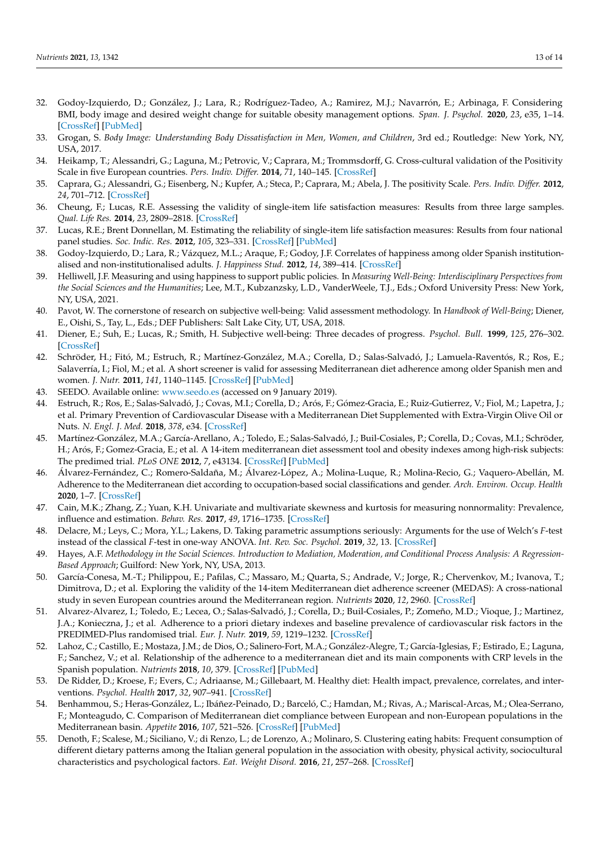- <span id="page-12-0"></span>32. Godoy-Izquierdo, D.; González, J.; Lara, R.; Rodríguez-Tadeo, A.; Ramirez, M.J.; Navarrón, E.; Arbinaga, F. Considering BMI, body image and desired weight change for suitable obesity management options. *Span. J. Psychol.* **2020**, *23*, e35, 1–14. [\[CrossRef\]](http://doi.org/10.1017/SJP.2020.36) [\[PubMed\]](http://www.ncbi.nlm.nih.gov/pubmed/32895084)
- <span id="page-12-1"></span>33. Grogan, S. *Body Image: Understanding Body Dissatisfaction in Men, Women, and Children*, 3rd ed.; Routledge: New York, NY, USA, 2017.
- <span id="page-12-2"></span>34. Heikamp, T.; Alessandri, G.; Laguna, M.; Petrovic, V.; Caprara, M.; Trommsdorff, G. Cross-cultural validation of the Positivity Scale in five European countries. *Pers. Indiv. Differ.* **2014**, *71*, 140–145. [\[CrossRef\]](http://doi.org/10.1016/j.paid.2014.07.012)
- <span id="page-12-3"></span>35. Caprara, G.; Alessandri, G.; Eisenberg, N.; Kupfer, A.; Steca, P.; Caprara, M.; Abela, J. The positivity Scale. *Pers. Indiv. Differ.* **2012**, *24*, 701–712. [\[CrossRef\]](http://doi.org/10.1037/a0026681)
- <span id="page-12-4"></span>36. Cheung, F.; Lucas, R.E. Assessing the validity of single-item life satisfaction measures: Results from three large samples. *Qual. Life Res.* **2014**, *23*, 2809–2818. [\[CrossRef\]](http://doi.org/10.1007/s11136-014-0726-4)
- <span id="page-12-5"></span>37. Lucas, R.E.; Brent Donnellan, M. Estimating the reliability of single-item life satisfaction measures: Results from four national panel studies. *Soc. Indic. Res.* **2012**, *105*, 323–331. [\[CrossRef\]](http://doi.org/10.1007/s11205-011-9783-z) [\[PubMed\]](http://www.ncbi.nlm.nih.gov/pubmed/23087538)
- <span id="page-12-6"></span>38. Godoy-Izquierdo, D.; Lara, R.; Vázquez, M.L.; Araque, F.; Godoy, J.F. Correlates of happiness among older Spanish institutionalised and non-institutionalised adults. *J. Happiness Stud.* **2012**, *14*, 389–414. [\[CrossRef\]](http://doi.org/10.1007/s10902-012-9335-5)
- <span id="page-12-7"></span>39. Helliwell, J.F. Measuring and using happiness to support public policies. In *Measuring Well-Being: Interdisciplinary Perspectives from the Social Sciences and the Humanities*; Lee, M.T., Kubzanzsky, L.D., VanderWeele, T.J., Eds.; Oxford University Press: New York, NY, USA, 2021.
- <span id="page-12-8"></span>40. Pavot, W. The cornerstone of research on subjective well-being: Valid assessment methodology. In *Handbook of Well-Being*; Diener, E., Oishi, S., Tay, L., Eds.; DEF Publishers: Salt Lake City, UT, USA, 2018.
- <span id="page-12-9"></span>41. Diener, E.; Suh, E.; Lucas, R.; Smith, H. Subjective well-being: Three decades of progress. *Psychol. Bull.* **1999**, *125*, 276–302. [\[CrossRef\]](http://doi.org/10.1037/0033-2909.125.2.276)
- <span id="page-12-10"></span>42. Schröder, H.; Fitó, M.; Estruch, R.; Martínez-González, M.A.; Corella, D.; Salas-Salvadó, J.; Lamuela-Raventós, R.; Ros, E.; Salaverría, I.; Fiol, M.; et al. A short screener is valid for assessing Mediterranean diet adherence among older Spanish men and women. *J. Nutr.* **2011**, *141*, 1140–1145. [\[CrossRef\]](http://doi.org/10.3945/jn.110.135566) [\[PubMed\]](http://www.ncbi.nlm.nih.gov/pubmed/21508208)
- <span id="page-12-11"></span>43. SEEDO. Available online: <www.seedo.es> (accessed on 9 January 2019).
- <span id="page-12-12"></span>44. Estruch, R.; Ros, E.; Salas-Salvadó, J.; Covas, M.I.; Corella, D.; Arós, F.; Gómez-Gracia, E.; Ruiz-Gutierrez, V.; Fiol, M.; Lapetra, J.; et al. Primary Prevention of Cardiovascular Disease with a Mediterranean Diet Supplemented with Extra-Virgin Olive Oil or Nuts. *N. Engl. J. Med.* **2018**, *378*, e34. [\[CrossRef\]](http://doi.org/10.1056/NEJMoa1800389)
- <span id="page-12-13"></span>45. Martínez-González, M.A.; García-Arellano, A.; Toledo, E.; Salas-Salvadó, J.; Buil-Cosiales, P.; Corella, D.; Covas, M.I.; Schröder, H.; Arós, F.; Gomez-Gracia, E.; et al. A 14-item mediterranean diet assessment tool and obesity indexes among high-risk subjects: The predimed trial. *PLoS ONE* **2012**, *7*, e43134. [\[CrossRef\]](http://doi.org/10.1371/journal.pone.0043134) [\[PubMed\]](http://www.ncbi.nlm.nih.gov/pubmed/22905215)
- <span id="page-12-14"></span>46. Álvarez-Fernández, C.; Romero-Saldaña, M.; Álvarez-López, A.; Molina-Luque, R.; Molina-Recio, G.; Vaquero-Abellán, M. Adherence to the Mediterranean diet according to occupation-based social classifications and gender. *Arch. Environ. Occup. Health* **2020**, 1–7. [\[CrossRef\]](http://doi.org/10.1080/19338244.2020.1825210)
- <span id="page-12-15"></span>47. Cain, M.K.; Zhang, Z.; Yuan, K.H. Univariate and multivariate skewness and kurtosis for measuring nonnormality: Prevalence, influence and estimation. *Behav. Res.* **2017**, *49*, 1716–1735. [\[CrossRef\]](http://doi.org/10.3758/s13428-016-0814-1)
- <span id="page-12-16"></span>48. Delacre, M.; Leys, C.; Mora, Y.L.; Lakens, D. Taking parametric assumptions seriously: Arguments for the use of Welch's *F*-test instead of the classical *F*-test in one-way ANOVA. *Int. Rev. Soc. Psychol.* **2019**, *32*, 13. [\[CrossRef\]](http://doi.org/10.5334/irsp.198)
- <span id="page-12-17"></span>49. Hayes, A.F. *Methodology in the Social Sciences. Introduction to Mediation, Moderation, and Conditional Process Analysis: A Regression-Based Approach*; Guilford: New York, NY, USA, 2013.
- <span id="page-12-18"></span>50. García-Conesa, M.-T.; Philippou, E.; Pafilas, C.; Massaro, M.; Quarta, S.; Andrade, V.; Jorge, R.; Chervenkov, M.; Ivanova, T.; Dimitrova, D.; et al. Exploring the validity of the 14-item Mediterranean diet adherence screener (MEDAS): A cross-national study in seven European countries around the Mediterranean region. *Nutrients* **2020**, *12*, 2960. [\[CrossRef\]](http://doi.org/10.3390/nu12102960)
- <span id="page-12-19"></span>51. Alvarez-Alvarez, I.; Toledo, E.; Lecea, O.; Salas-Salvadó, J.; Corella, D.; Buil-Cosiales, P.; Zomeño, M.D.; Vioque, J.; Martinez, J.A.; Konieczna, J.; et al. Adherence to a priori dietary indexes and baseline prevalence of cardiovascular risk factors in the PREDIMED-Plus randomised trial. *Eur. J. Nutr.* **2019**, *59*, 1219–1232. [\[CrossRef\]](http://doi.org/10.1007/s00394-019-01982-x)
- <span id="page-12-20"></span>52. Lahoz, C.; Castillo, E.; Mostaza, J.M.; de Dios, O.; Salinero-Fort, M.A.; González-Alegre, T.; García-Iglesias, F.; Estirado, E.; Laguna, F.; Sanchez, V.; et al. Relationship of the adherence to a mediterranean diet and its main components with CRP levels in the Spanish population. *Nutrients* **2018**, *10*, 379. [\[CrossRef\]](http://doi.org/10.3390/nu10030379) [\[PubMed\]](http://www.ncbi.nlm.nih.gov/pubmed/29558396)
- <span id="page-12-21"></span>53. De Ridder, D.; Kroese, F.; Evers, C.; Adriaanse, M.; Gillebaart, M. Healthy diet: Health impact, prevalence, correlates, and interventions. *Psychol. Health* **2017**, *32*, 907–941. [\[CrossRef\]](http://doi.org/10.1080/08870446.2017.1316849)
- <span id="page-12-22"></span>54. Benhammou, S.; Heras-González, L.; Ibáñez-Peinado, D.; Barceló, C.; Hamdan, M.; Rivas, A.; Mariscal-Arcas, M.; Olea-Serrano, F.; Monteagudo, C. Comparison of Mediterranean diet compliance between European and non-European populations in the Mediterranean basin. *Appetite* **2016**, *107*, 521–526. [\[CrossRef\]](http://doi.org/10.1016/j.appet.2016.08.117) [\[PubMed\]](http://www.ncbi.nlm.nih.gov/pubmed/27596949)
- 55. Denoth, F.; Scalese, M.; Siciliano, V.; di Renzo, L.; de Lorenzo, A.; Molinaro, S. Clustering eating habits: Frequent consumption of different dietary patterns among the Italian general population in the association with obesity, physical activity, sociocultural characteristics and psychological factors. *Eat. Weight Disord.* **2016**, *21*, 257–268. [\[CrossRef\]](http://doi.org/10.1007/s40519-015-0225-9)